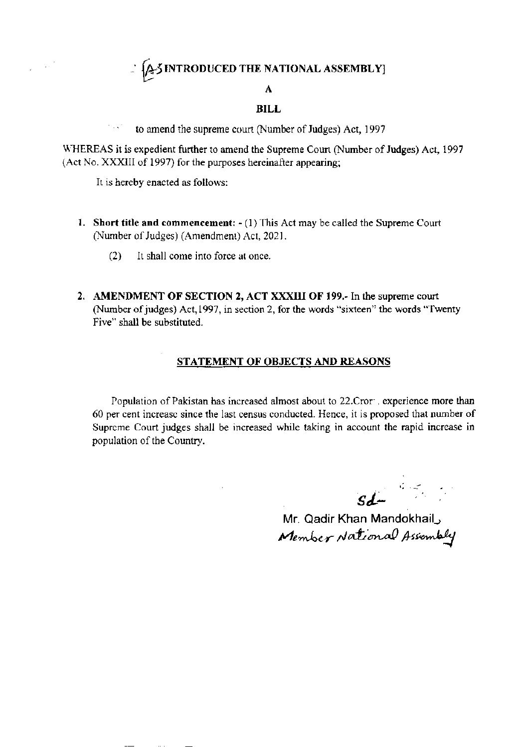## $\therefore$   $\{ \triangle 5$  INTRODUCED THE NATIONAL ASSEMBLY]

### A

#### BILL

 $\therefore$  to amend the supreme court (Number of Judges) Act, 1997

WHEREAS it is expedient further to amend the Supreme Court (Number of Judges) Act, 1997 (Act No. XXXIII of 1997) for the purposes hereinafter appearing;

It is hereby enacted as follows:

 $\sim$  .

- 1. Short title and commencement:  $-(1)$  This Act may be called the Supreme Court (Number of Judges) (Amendment) Act, 2021.
	- $(2)$  It shall come into force at once.
- 2. AMENDMENT OF SECTION 2, ACT XXXIII OF 199.- In the supreme court (Number of judges) Act, 1997, in section 2, for the words "sixteen" the words "Twenty Five" shall be substituted.

#### STATEMENT OF OBJECTS AND REASONS

Population of Pakistan has increased almost about to 22.Cror , experience more than 60 per cent increasc since the last census conducted. Hence, it is proposed that number of Supreme Court judges shall be increased while taking in account the rapid increase in population of tbe Country.

 $sd-$ 

Mr. Qadir Khan Mandokhail Member Assembly